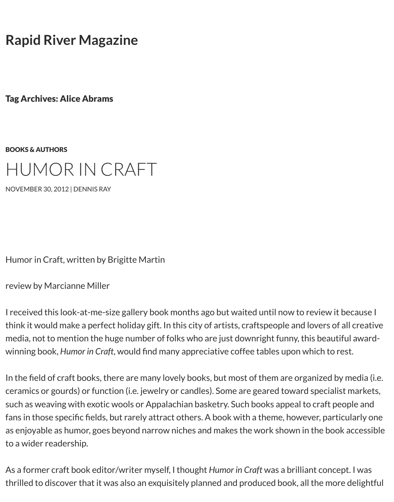[Tag Archives: Alice Abrams](http://www.rapidrivermagazine.com/)

## BOOKS & AUTHORS HUMOR IN CRAFT

NOVEMBER 30, 2012 | DENNIS RAY

[Humor in Craft, w](http://www.rapidrivermagazine.com/2012/humor-in-craft/)[ritten by B](http://www.rapidrivermagazine.com/author/dennis/)rigitte Martin

[review by Marcianne Miller](http://www.rapidrivermagazine.com/wp-content/uploads/2012/11/Alice-Abrams1.jpg)

I received this look-at-me-size gallery book months ago but waited until now to review it think it would make a perfect holiday gift. In this city of artists, craftspeople and lovers of media, not to mention the huge number of folks who are just downright funny, this beau winning book, *Humor in Craft*, would find many appreciative coffee tables upon which to

In the field of craft books, there are many lovely books, but most of them are organized ceramics or gourds) or function (i.e. jewelry or candles). Some are geared toward specia such as weaving with exotic wools or Appalachian basketry. Such books appeal to craft p fans in those specific fields, but rarely attract others. A book with a theme, however, par as enjoyable as humor, goes beyond narrow niches and makes the work shown in the bo to a wider readership.

As a former craft book editor/writer myself, I thought *Humor in Craft* was a brilliant conde thrilled to discover that it was also an exquisitely planned and produced book, all the mo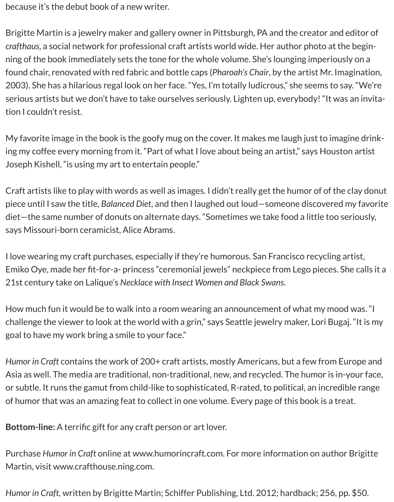because it's the debut book of a new writer.

Brigitte Martin is a jewelry maker and gallery owner in Pittsburgh, PA and the creator and editor of *crafthaus*, a social network for professional craft artists world wide. Her author photo at the beginning of the book immediately sets the tone for the whole volume. She's lounging imperiously on a found chair, renovated with red fabric and bottle caps (*Pharoah's Chair*, by the artist Mr. Imagination, 2003). She has a hilarious regal look on her face. "Yes, I'm totally ludicrous," she seems to say. "We're serious artists but we don't have to take ourselves seriously. Lighten up, everybody! "It was an invitation I couldn't resist.

My favorite image in the book is the goofy mug on the cover. It makes me laugh just to imagine drinking my coffee every morning from it. "Part of what I love about being an artist," says Houston artist Joseph Kishell, "is using my art to entertain people."

Craft artists like to play with words as well as images. I didn't really get the humor of of the clay donut piece until I saw the title, *Balanced Diet*, and then I laughed out loud—someone discovered my favorite diet—the same number of donuts on alternate days. "Sometimes we take food a little too seriously, says Missouri-born ceramicist, Alice Abrams.

I love wearing my craft purchases, especially if they're humorous. San Francisco recycling artist, Emiko Oye, made her fit-for-a- princess "ceremonial jewels" neckpiece from Lego pieces. She calls it a 21st century take on Lalique's *Necklace with Insect Women and Black Swans*.

How much fun it would be to walk into a room wearing an announcement of what my mood was. "I challenge the viewer to look at the world with a grin," says Seattle jewelry maker, Lori Bugaj. "It is my goal to have my work bring a smile to your face."

*Humor in Craft* contains the work of 200+ craft artists, mostly Americans, but a few from Europe and Asia as well. The media are traditional, non-traditional, new, and recycled. The humor is in-your face, or subtle. It runs the gamut from child-like to sophisticated, R-rated, to political, an incredible range of humor that was an amazing feat to collect in one volume. Every page of this book is a treat.

**Bottom-line:** A terrific gift for any craft person or art lover.

Purchase *Humor in Craft* online at www.humorincraft.com. For more information on author Brigitte Martin, visit www.crafthouse.ning.com.

*Humor in Craft,* written by Brigitte Martin; Schiffer Publishing, Ltd. 2012; hardback; 256, pp. \$50.